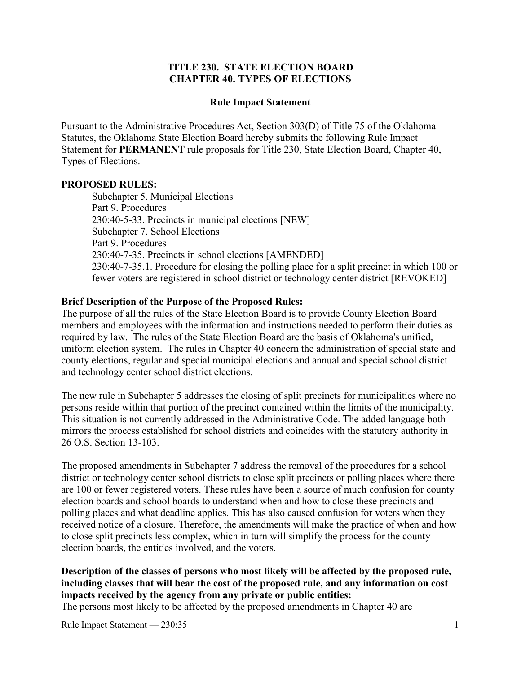#### **TITLE 230. STATE ELECTION BOARD CHAPTER 40. TYPES OF ELECTIONS**

#### **Rule Impact Statement**

Pursuant to the Administrative Procedures Act, Section 303(D) of Title 75 of the Oklahoma Statutes, the Oklahoma State Election Board hereby submits the following Rule Impact Statement for **PERMANENT** rule proposals for Title 230, State Election Board, Chapter 40, Types of Elections.

#### **PROPOSED RULES:**

 Subchapter 5. Municipal Elections Part 9. Procedures 230:40-5-33. Precincts in municipal elections [NEW] Subchapter 7. School Elections Part 9. Procedures 230:40-7-35. Precincts in school elections [AMENDED] 230:40-7-35.1. Procedure for closing the polling place for a split precinct in which 100 or fewer voters are registered in school district or technology center district [REVOKED]

#### **Brief Description of the Purpose of the Proposed Rules:**

The purpose of all the rules of the State Election Board is to provide County Election Board members and employees with the information and instructions needed to perform their duties as required by law. The rules of the State Election Board are the basis of Oklahoma's unified, uniform election system. The rules in Chapter 40 concern the administration of special state and county elections, regular and special municipal elections and annual and special school district and technology center school district elections.

The new rule in Subchapter 5 addresses the closing of split precincts for municipalities where no persons reside within that portion of the precinct contained within the limits of the municipality. This situation is not currently addressed in the Administrative Code. The added language both mirrors the process established for school districts and coincides with the statutory authority in 26 O.S. Section 13-103.

The proposed amendments in Subchapter 7 address the removal of the procedures for a school district or technology center school districts to close split precincts or polling places where there are 100 or fewer registered voters. These rules have been a source of much confusion for county election boards and school boards to understand when and how to close these precincts and polling places and what deadline applies. This has also caused confusion for voters when they received notice of a closure. Therefore, the amendments will make the practice of when and how to close split precincts less complex, which in turn will simplify the process for the county election boards, the entities involved, and the voters.

# **Description of the classes of persons who most likely will be affected by the proposed rule, including classes that will bear the cost of the proposed rule, and any information on cost impacts received by the agency from any private or public entities:**

The persons most likely to be affected by the proposed amendments in Chapter 40 are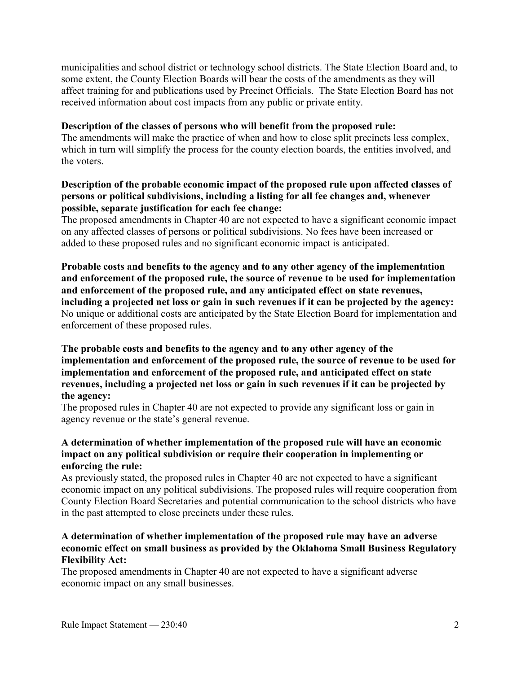municipalities and school district or technology school districts. The State Election Board and, to some extent, the County Election Boards will bear the costs of the amendments as they will affect training for and publications used by Precinct Officials. The State Election Board has not received information about cost impacts from any public or private entity.

#### **Description of the classes of persons who will benefit from the proposed rule:**

The amendments will make the practice of when and how to close split precincts less complex, which in turn will simplify the process for the county election boards, the entities involved, and the voters.

### **Description of the probable economic impact of the proposed rule upon affected classes of persons or political subdivisions, including a listing for all fee changes and, whenever possible, separate justification for each fee change:**

The proposed amendments in Chapter 40 are not expected to have a significant economic impact on any affected classes of persons or political subdivisions. No fees have been increased or added to these proposed rules and no significant economic impact is anticipated.

**Probable costs and benefits to the agency and to any other agency of the implementation and enforcement of the proposed rule, the source of revenue to be used for implementation and enforcement of the proposed rule, and any anticipated effect on state revenues, including a projected net loss or gain in such revenues if it can be projected by the agency:** No unique or additional costs are anticipated by the State Election Board for implementation and enforcement of these proposed rules.

### **The probable costs and benefits to the agency and to any other agency of the implementation and enforcement of the proposed rule, the source of revenue to be used for implementation and enforcement of the proposed rule, and anticipated effect on state revenues, including a projected net loss or gain in such revenues if it can be projected by the agency:**

The proposed rules in Chapter 40 are not expected to provide any significant loss or gain in agency revenue or the state's general revenue.

### **A determination of whether implementation of the proposed rule will have an economic impact on any political subdivision or require their cooperation in implementing or enforcing the rule:**

As previously stated, the proposed rules in Chapter 40 are not expected to have a significant economic impact on any political subdivisions. The proposed rules will require cooperation from County Election Board Secretaries and potential communication to the school districts who have in the past attempted to close precincts under these rules.

### **A determination of whether implementation of the proposed rule may have an adverse economic effect on small business as provided by the Oklahoma Small Business Regulatory Flexibility Act:**

The proposed amendments in Chapter 40 are not expected to have a significant adverse economic impact on any small businesses.